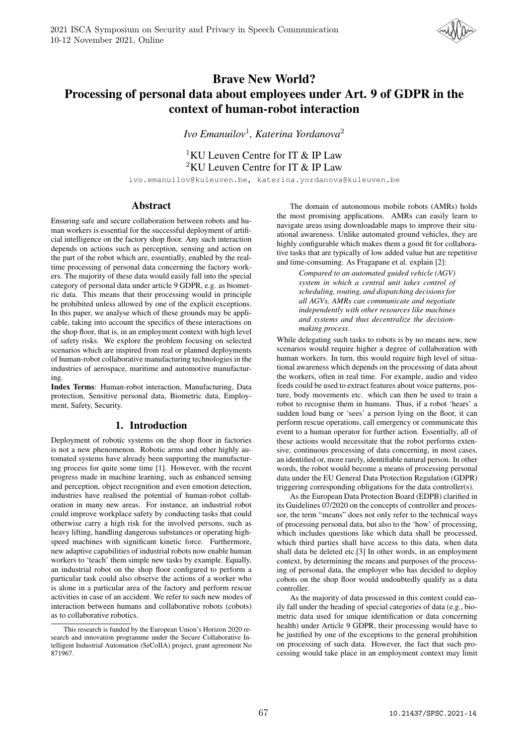

# Brave New World? Processing of personal data about employees under Art. 9 of GDPR in the context of human-robot interaction

*Ivo Emanuilov*<sup>1</sup> *, Katerina Yordanova*<sup>2</sup>

<sup>1</sup>KU Leuven Centre for IT  $\&$  IP Law <sup>2</sup>KU Leuven Centre for IT & IP Law

ivo.emanuilov@kuleuven.be, katerina.yordanova@kuleuven.be

### Abstract

Ensuring safe and secure collaboration between robots and human workers is essential for the successful deployment of artificial intelligence on the factory shop floor. Any such interaction depends on actions such as perception, sensing and action on the part of the robot which are, essentially, enabled by the realtime processing of personal data concerning the factory workers. The majority of these data would easily fall into the special category of personal data under article 9 GDPR, e.g. as biometric data. This means that their processing would in principle be prohibited unless allowed by one of the explicit exceptions. In this paper, we analyse which of these grounds may be applicable, taking into account the specifics of these interactions on the shop floor, that is, in an employment context with high level of safety risks. We explore the problem focusing on selected scenarios which are inspired from real or planned deployments of human-robot collaborative manufacturing technologies in the industries of aerospace, maritime and automotive manufacturing.

Index Terms: Human-robot interaction, Manufacturing, Data protection, Sensitive personal data, Biometric data, Employment, Safety, Security.

### 1. Introduction

Deployment of robotic systems on the shop floor in factories is not a new phenomenon. Robotic arms and other highly automated systems have already been supporting the manufacturing process for quite some time [1]. However, with the recent progress made in machine learning, such as enhanced sensing and perception, object recognition and even emotion detection, industries have realised the potential of human-robot collaboration in many new areas. For instance, an industrial robot could improve workplace safety by conducting tasks that could otherwise carry a high risk for the involved persons, such as heavy lifting, handling dangerous substances or operating highspeed machines with significant kinetic force. Furthermore, new adaptive capabilities of industrial robots now enable human workers to 'teach' them simple new tasks by example. Equally, an industrial robot on the shop floor configured to perform a particular task could also observe the actions of a worker who is alone in a particular area of the factory and perform rescue activities in case of an accident. We refer to such new modes of interaction between humans and collaborative robots (cobots) as to collaborative robotics.

The domain of autonomous mobile robots (AMRs) holds the most promising applications. AMRs can easily learn to navigate areas using downloadable maps to improve their situational awareness. Unlike automated ground vehicles, they are highly configurable which makes them a good fit for collaborative tasks that are typically of low added value but are repetitive and time-consuming. As Fragapane et al. explain [2]:

> *Compared to an automated guided vehicle (AGV) system in which a central unit takes control of scheduling, routing, and dispatching decisions for all AGVs, AMRs can communicate and negotiate independently with other resources like machines and systems and thus decentralize the decisionmaking process.*

While delegating such tasks to robots is by no means new, new scenarios would require higher a degree of collaboration with human workers. In turn, this would require high level of situational awareness which depends on the processing of data about the workers, often in real time. For example, audio and video feeds could be used to extract features about voice patterns, posture, body movements etc. which can then be used to train a robot to recognise them in humans. Thus, if a robot 'hears' a sudden loud bang or 'sees' a person lying on the floor, it can perform rescue operations, call emergency or communicate this event to a human operator for further action. Essentially, all of these actions would necessitate that the robot performs extensive, continuous processing of data concerning, in most cases, an identified or, more rarely, identifiable natural person. In other words, the robot would become a means of processing personal data under the EU General Data Protection Regulation (GDPR) triggering corresponding obligations for the data controller(s).

As the European Data Protection Board (EDPB) clarified in its Guidelines 07/2020 on the concepts of controller and processor, the term "means" does not only refer to the technical ways of processing personal data, but also to the 'how' of processing, which includes questions like which data shall be processed, which third parties shall have access to this data, when data shall data be deleted etc.[3] In other words, in an employment context, by determining the means and purposes of the processing of personal data, the employer who has decided to deploy cobots on the shop floor would undoubtedly qualify as a data controller.

As the majority of data processed in this context could easily fall under the heading of special categories of data (e.g., biometric data used for unique identification or data concerning health) under Article 9 GDPR, their processing would have to be justified by one of the exceptions to the general prohibition on processing of such data. However, the fact that such processing would take place in an employment context may limit

This research is funded by the European Union's Horizon 2020 research and innovation programme under the Secure Collaborative Intelligent Industrial Automation (SeCoIIA) project, grant agreement No 871967.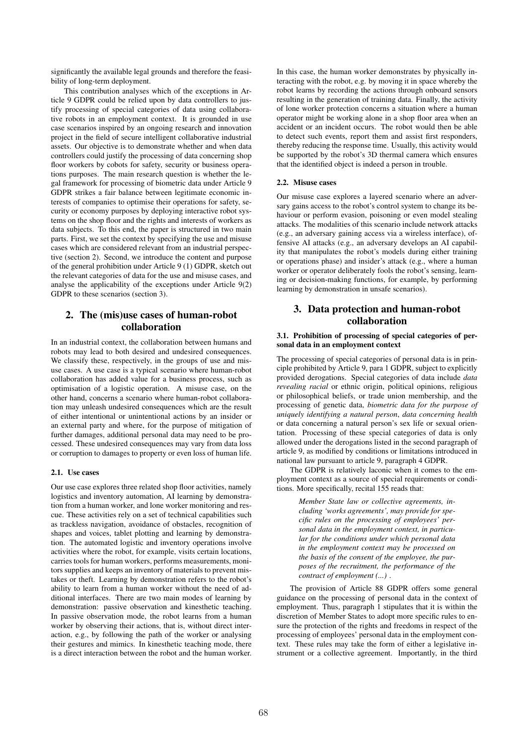significantly the available legal grounds and therefore the feasibility of long-term deployment.

This contribution analyses which of the exceptions in Article 9 GDPR could be relied upon by data controllers to justify processing of special categories of data using collaborative robots in an employment context. It is grounded in use case scenarios inspired by an ongoing research and innovation project in the field of secure intelligent collaborative industrial assets. Our objective is to demonstrate whether and when data controllers could justify the processing of data concerning shop floor workers by cobots for safety, security or business operations purposes. The main research question is whether the legal framework for processing of biometric data under Article 9 GDPR strikes a fair balance between legitimate economic interests of companies to optimise their operations for safety, security or economy purposes by deploying interactive robot systems on the shop floor and the rights and interests of workers as data subjects. To this end, the paper is structured in two main parts. First, we set the context by specifying the use and misuse cases which are considered relevant from an industrial perspective (section 2). Second, we introduce the content and purpose of the general prohibition under Article 9 (1) GDPR, sketch out the relevant categories of data for the use and misuse cases, and analyse the applicability of the exceptions under Article 9(2) GDPR to these scenarios (section 3).

## 2. The (mis)use cases of human-robot collaboration

In an industrial context, the collaboration between humans and robots may lead to both desired and undesired consequences. We classify these, respectively, in the groups of use and misuse cases. A use case is a typical scenario where human-robot collaboration has added value for a business process, such as optimisation of a logistic operation. A misuse case, on the other hand, concerns a scenario where human-robot collaboration may unleash undesired consequences which are the result of either intentional or unintentional actions by an insider or an external party and where, for the purpose of mitigation of further damages, additional personal data may need to be processed. These undesired consequences may vary from data loss or corruption to damages to property or even loss of human life.

#### 2.1. Use cases

Our use case explores three related shop floor activities, namely logistics and inventory automation, AI learning by demonstration from a human worker, and lone worker monitoring and rescue. These activities rely on a set of technical capabilities such as trackless navigation, avoidance of obstacles, recognition of shapes and voices, tablet plotting and learning by demonstration. The automated logistic and inventory operations involve activities where the robot, for example, visits certain locations, carries tools for human workers, performs measurements, monitors supplies and keeps an inventory of materials to prevent mistakes or theft. Learning by demonstration refers to the robot's ability to learn from a human worker without the need of additional interfaces. There are two main modes of learning by demonstration: passive observation and kinesthetic teaching. In passive observation mode, the robot learns from a human worker by observing their actions, that is, without direct interaction, e.g., by following the path of the worker or analysing their gestures and mimics. In kinesthetic teaching mode, there is a direct interaction between the robot and the human worker. In this case, the human worker demonstrates by physically interacting with the robot, e.g. by moving it in space whereby the robot learns by recording the actions through onboard sensors resulting in the generation of training data. Finally, the activity of lone worker protection concerns a situation where a human operator might be working alone in a shop floor area when an accident or an incident occurs. The robot would then be able to detect such events, report them and assist first responders, thereby reducing the response time. Usually, this activity would be supported by the robot's 3D thermal camera which ensures that the identified object is indeed a person in trouble.

#### 2.2. Misuse cases

Our misuse case explores a layered scenario where an adversary gains access to the robot's control system to change its behaviour or perform evasion, poisoning or even model stealing attacks. The modalities of this scenario include network attacks (e.g., an adversary gaining access via a wireless interface), offensive AI attacks (e.g., an adversary develops an AI capability that manipulates the robot's models during either training or operations phase) and insider's attack (e.g., where a human worker or operator deliberately fools the robot's sensing, learning or decision-making functions, for example, by performing learning by demonstration in unsafe scenarios).

## 3. Data protection and human-robot collaboration

#### 3.1. Prohibition of processing of special categories of personal data in an employment context

The processing of special categories of personal data is in principle prohibited by Article 9, para 1 GDPR, subject to explicitly provided derogations. Special categories of data include *data revealing racial* or ethnic origin, political opinions, religious or philosophical beliefs, or trade union membership, and the processing of genetic data, *biometric data for the purpose of uniquely identifying a natural person*, *data concerning health* or data concerning a natural person's sex life or sexual orientation. Processing of these special categories of data is only allowed under the derogations listed in the second paragraph of article 9, as modified by conditions or limitations introduced in national law pursuant to article 9, paragraph 4 GDPR.

The GDPR is relatively laconic when it comes to the employment context as a source of special requirements or conditions. More specifically, recital 155 reads that:

> *Member State law or collective agreements, including 'works agreements', may provide for specific rules on the processing of employees' personal data in the employment context, in particular for the conditions under which personal data in the employment context may be processed on the basis of the consent of the employee, the purposes of the recruitment, the performance of the contract of employment (...)* .

The provision of Article 88 GDPR offers some general guidance on the processing of personal data in the context of employment. Thus, paragraph 1 stipulates that it is within the discretion of Member States to adopt more specific rules to ensure the protection of the rights and freedoms in respect of the processing of employees' personal data in the employment context. These rules may take the form of either a legislative instrument or a collective agreement. Importantly, in the third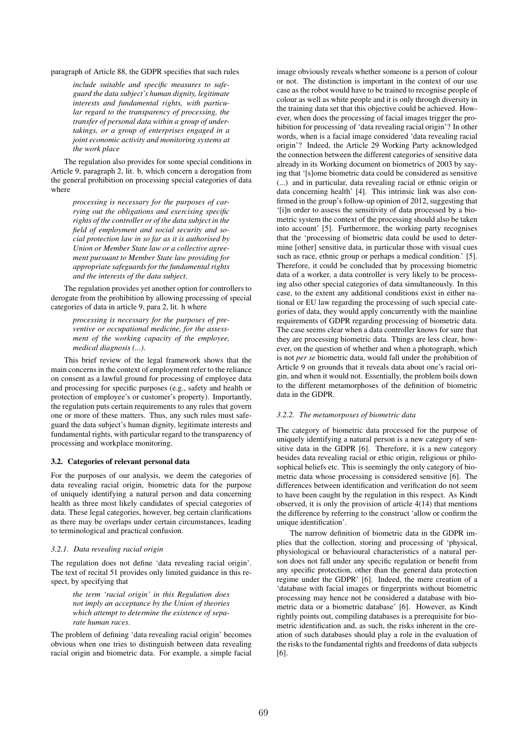paragraph of Article 88, the GDPR specifies that such rules

*include suitable and specific measures to safeguard the data subject's human dignity, legitimate interests and fundamental rights, with particular regard to the transparency of processing, the transfer of personal data within a group of undertakings, or a group of enterprises engaged in a joint economic activity and monitoring systems at the work place*

The regulation also provides for some special conditions in Article 9, paragraph 2, lit. b, which concern a derogation from the general prohibition on processing special categories of data where

> *processing is necessary for the purposes of carrying out the obligations and exercising specific rights of the controller or of the data subject in the field of employment and social security and social protection law in so far as it is authorised by Union or Member State law or a collective agreement pursuant to Member State law providing for appropriate safeguards for the fundamental rights and the interests of the data subject*.

The regulation provides yet another option for controllers to derogate from the prohibition by allowing processing of special categories of data in article 9, para 2, lit. h where

> *processing is necessary for the purposes of preventive or occupational medicine, for the assessment of the working capacity of the employee, medical diagnosis (...)*.

This brief review of the legal framework shows that the main concerns in the context of employment refer to the reliance on consent as a lawful ground for processing of employee data and processing for specific purposes (e.g., safety and health or protection of employee's or customer's property). Importantly, the regulation puts certain requirements to any rules that govern one or more of these matters. Thus, any such rules must safeguard the data subject's human dignity, legitimate interests and fundamental rights, with particular regard to the transparency of processing and workplace monitoring.

#### 3.2. Categories of relevant personal data

For the purposes of our analysis, we deem the categories of data revealing racial origin, biometric data for the purpose of uniquely identifying a natural person and data concerning health as three most likely candidates of special categories of data. These legal categories, however, beg certain clarifications as there may be overlaps under certain circumstances, leading to terminological and practical confusion.

#### *3.2.1. Data revealing racial origin*

The regulation does not define 'data revealing racial origin'. The text of recital 51 provides only limited guidance in this respect, by specifying that

> *the term 'racial origin' in this Regulation does not imply an acceptance by the Union of theories which attempt to determine the existence of separate human races*.

The problem of defining 'data revealing racial origin' becomes obvious when one tries to distinguish between data revealing racial origin and biometric data. For example, a simple facial

image obviously reveals whether someone is a person of colour or not. The distinction is important in the context of our use case as the robot would have to be trained to recognise people of colour as well as white people and it is only through diversity in the training data set that this objective could be achieved. However, when does the processing of facial images trigger the prohibition for processing of 'data revealing racial origin'? In other words, when is a facial image considered 'data revealing racial origin'? Indeed, the Article 29 Working Party acknowledged the connection between the different categories of sensitive data already in its Working document on biometrics of 2003 by saying that '[s]ome biometric data could be considered as sensitive (...) and in particular, data revealing racial or ethnic origin or data concerning health' [4]. This intrinsic link was also confirmed in the group's follow-up opinion of 2012, suggesting that '[i]n order to assess the sensitivity of data processed by a biometric system the context of the processing should also be taken into account' [5]. Furthermore, the working party recognises that the 'processing of biometric data could be used to determine [other] sensitive data, in particular those with visual cues such as race, ethnic group or perhaps a medical condition.' [5]. Therefore, it could be concluded that by processing biometric data of a worker, a data controller is very likely to be processing also other special categories of data simultaneously. In this case, to the extent any additional conditions exist in either national or EU law regarding the processing of such special categories of data, they would apply concurrently with the mainline requirements of GDPR regarding processing of biometric data. The case seems clear when a data controller knows for sure that they are processing biometric data. Things are less clear, however, on the question of whether and when a photograph, which is not *per se* biometric data, would fall under the prohibition of Article 9 on grounds that it reveals data about one's racial origin, and when it would not. Essentially, the problem boils down to the different metamorphoses of the definition of biometric data in the GDPR.

#### *3.2.2. The metamorposes of biometric data*

The category of biometric data processed for the purpose of uniquely identifying a natural person is a new category of sensitive data in the GDPR [6]. Therefore, it is a new category besides data revealing racial or ethic origin, religious or philosophical beliefs etc. This is seemingly the only category of biometric data whose processing is considered sensitive [6]. The differences between identification and verification do not seem to have been caught by the regulation in this respect. As Kindt observed, it is only the provision of article 4(14) that mentions the difference by referring to the construct 'allow or confirm the unique identification'.

The narrow definition of biometric data in the GDPR implies that the collection, storing and processing of 'physical, physiological or behavioural characteristics of a natural person does not fall under any specific regulation or benefit from any specific protection, other than the general data protection regime under the GDPR' [6]. Indeed, the mere creation of a 'database with facial images or fingerprints without biometric processing may hence not be considered a database with biometric data or a biometric database' [6]. However, as Kindt rightly points out, compiling databases is a prerequisite for biometric identification and, as such, the risks inherent in the creation of such databases should play a role in the evaluation of the risks to the fundamental rights and freedoms of data subjects [6].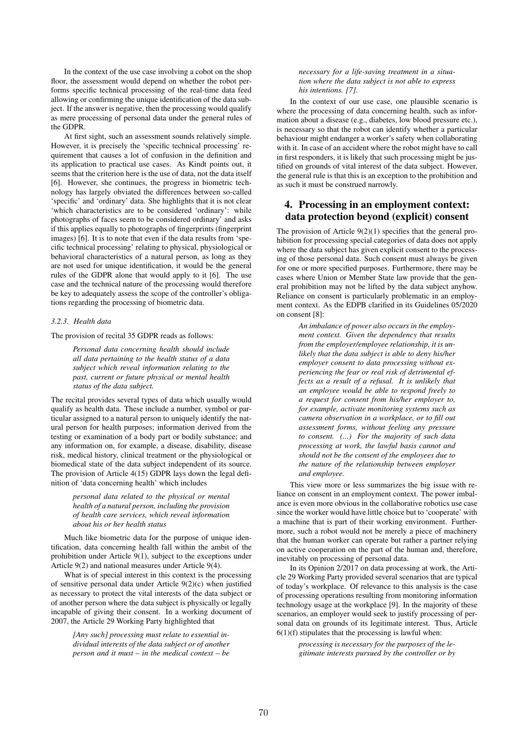In the context of the use case involving a cobot on the shop floor, the assessment would depend on whether the robot performs specific technical processing of the real-time data feed allowing or confirming the unique identification of the data subject. If the answer is negative, then the processing would qualify as mere processing of personal data under the general rules of the GDPR.

At first sight, such an assessment sounds relatively simple. However, it is precisely the 'specific technical processing' requirement that causes a lot of confusion in the definition and its application to practical use cases. As Kindt points out, it seems that the criterion here is the use of data, not the data itself [6]. However, she continues, the progress in biometric technology has largely obviated the differences between so-called 'specific' and 'ordinary' data. She highlights that it is not clear 'which characteristics are to be considered 'ordinary': while photographs of faces seem to be considered ordinary' and asks if this applies equally to photographs of fingerprints (fingerprint images) [6]. It is to note that even if the data results from 'specific technical processing' relating to physical, physiological or behavioral characteristics of a natural person, as long as they are not used for unique identification, it would be the general rules of the GDPR alone that would apply to it [6]. The use case and the technical nature of the processing would therefore be key to adequately assess the scope of the controller's obligations regarding the processing of biometric data.

#### *3.2.3. Health data*

The provision of recital 35 GDPR reads as follows:

*Personal data concerning health should include all data pertaining to the health status of a data subject which reveal information relating to the past, current or future physical or mental health status of the data subject.*

The recital provides several types of data which usually would qualify as health data. These include a number, symbol or particular assigned to a natural person to uniquely identify the natural person for health purposes; information derived from the testing or examination of a body part or bodily substance; and any information on, for example, a disease, disability, disease risk, medical history, clinical treatment or the physiological or biomedical state of the data subject independent of its source. The provision of Article 4(15) GDPR lays down the legal definition of 'data concerning health' which includes

#### *personal data related to the physical or mental health of a natural person, including the provision of health care services, which reveal information about his or her health status*

Much like biometric data for the purpose of unique identification, data concerning health fall within the ambit of the prohibition under Article 9(1), subject to the exceptions under Article 9(2) and national measures under Article 9(4).

What is of special interest in this context is the processing of sensitive personal data under Article 9(2)(c) when justified as necessary to protect the vital interests of the data subject or of another person where the data subject is physically or legally incapable of giving their consent. In a working document of 2007, the Article 29 Working Party highlighted that

> *[Any such] processing must relate to essential individual interests of the data subject or of another person and it must – in the medical context – be*

#### *necessary for a life-saving treatment in a situation where the data subject is not able to express his intentions. [7]*.

In the context of our use case, one plausible scenario is where the processing of data concerning health, such as information about a disease (e.g., diabetes, low blood pressure etc.), is necessary so that the robot can identify whether a particular behaviour might endanger a worker's safety when collaborating with it. In case of an accident where the robot might have to call in first responders, it is likely that such processing might be justified on grounds of vital interest of the data subject. However, the general rule is that this is an exception to the prohibition and as such it must be construed narrowly.

### 4. Processing in an employment context: data protection beyond (explicit) consent

The provision of Article  $9(2)(1)$  specifies that the general prohibition for processing special categories of data does not apply where the data subject has given explicit consent to the processing of those personal data. Such consent must always be given for one or more specified purposes. Furthermore, there may be cases where Union or Member State law provide that the general prohibition may not be lifted by the data subject anyhow. Reliance on consent is particularly problematic in an employment context. As the EDPB clarified in its Guidelines 05/2020 on consent [8]:

> *An imbalance of power also occurs in the employment context. Given the dependency that results from the employer/employee relationship, it is unlikely that the data subject is able to deny his/her employer consent to data processing without experiencing the fear or real risk of detrimental effects as a result of a refusal. It is unlikely that an employee would be able to respond freely to a request for consent from his/her employer to, for example, activate monitoring systems such as camera observation in a workplace, or to fill out assessment forms, without feeling any pressure to consent. (...) For the majority of such data processing at work, the lawful basis cannot and should not be the consent of the employees due to the nature of the relationship between employer and employee.*

This view more or less summarizes the big issue with reliance on consent in an employment context. The power imbalance is even more obvious in the collaborative robotics use case since the worker would have little choice but to 'cooperate' with a machine that is part of their working environment. Furthermore, such a robot would not be merely a piece of machinery that the human worker can operate but rather a partner relying on active cooperation on the part of the human and, therefore, inevitably on processing of personal data.

In its Opinion 2/2017 on data processing at work, the Article 29 Working Party provided several scenarios that are typical of today's workplace. Of relevance to this analysis is the case of processing operations resulting from monitoring information technology usage at the workplace [9]. In the majority of these scenarios, an employer would seek to justify processing of personal data on grounds of its legitimate interest. Thus, Article  $6(1)(f)$  stipulates that the processing is lawful when:

> *processing is necessary for the purposes of the legitimate interests pursued by the controller or by*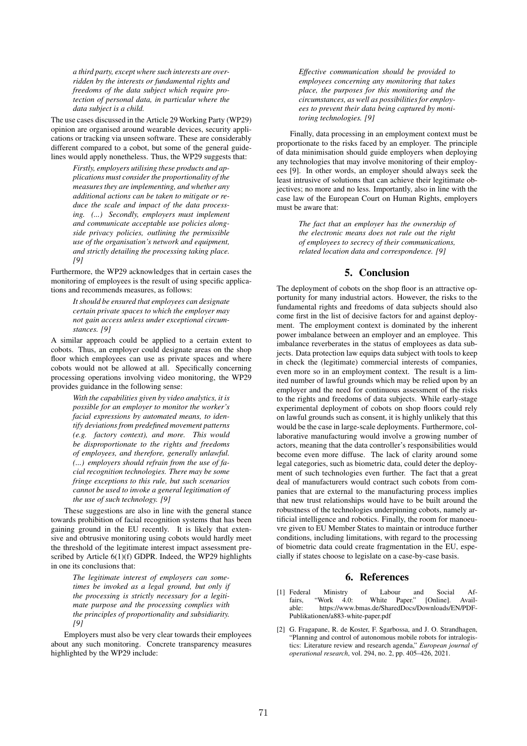*a third party, except where such interests are overridden by the interests or fundamental rights and freedoms of the data subject which require protection of personal data, in particular where the data subject is a child.*

The use cases discussed in the Article 29 Working Party (WP29) opinion are organised around wearable devices, security applications or tracking via unseen software. These are considerably different compared to a cobot, but some of the general guidelines would apply nonetheless. Thus, the WP29 suggests that:

> *Firstly, employers utilising these products and applications must consider the proportionality of the measures they are implementing, and whether any additional actions can be taken to mitigate or reduce the scale and impact of the data processing. (...) Secondly, employers must implement and communicate acceptable use policies alongside privacy policies, outlining the permissible use of the organisation's network and equipment, and strictly detailing the processing taking place. [9]*

Furthermore, the WP29 acknowledges that in certain cases the monitoring of employees is the result of using specific applications and recommends measures, as follows:

> *It should be ensured that employees can designate certain private spaces to which the employer may not gain access unless under exceptional circumstances. [9]*

A similar approach could be applied to a certain extent to cobots. Thus, an employer could designate areas on the shop floor which employees can use as private spaces and where cobots would not be allowed at all. Specifically concerning processing operations involving video monitoring, the WP29 provides guidance in the following sense:

> *With the capabilities given by video analytics, it is possible for an employer to monitor the worker's facial expressions by automated means, to identify deviations from predefined movement patterns (e.g. factory context), and more. This would be disproportionate to the rights and freedoms of employees, and therefore, generally unlawful. (...) employers should refrain from the use of facial recognition technologies. There may be some fringe exceptions to this rule, but such scenarios cannot be used to invoke a general legitimation of the use of such technology. [9]*

These suggestions are also in line with the general stance towards prohibition of facial recognition systems that has been gaining ground in the EU recently. It is likely that extensive and obtrusive monitoring using cobots would hardly meet the threshold of the legitimate interest impact assessment prescribed by Article 6(1)(f) GDPR. Indeed, the WP29 highlights in one its conclusions that:

> *The legitimate interest of employers can sometimes be invoked as a legal ground, but only if the processing is strictly necessary for a legitimate purpose and the processing complies with the principles of proportionality and subsidiarity. [9]*

Employers must also be very clear towards their employees about any such monitoring. Concrete transparency measures highlighted by the WP29 include:

*Effective communication should be provided to employees concerning any monitoring that takes place, the purposes for this monitoring and the circumstances, as well as possibilities for employees to prevent their data being captured by monitoring technologies. [9]*

Finally, data processing in an employment context must be proportionate to the risks faced by an employer. The principle of data minimisation should guide employers when deploying any technologies that may involve monitoring of their employees [9]. In other words, an employer should always seek the least intrusive of solutions that can achieve their legitimate objectives; no more and no less. Importantly, also in line with the case law of the European Court on Human Rights, employers must be aware that:

> *The fact that an employer has the ownership of the electronic means does not rule out the right of employees to secrecy of their communications, related location data and correspondence. [9]*

# 5. Conclusion

The deployment of cobots on the shop floor is an attractive opportunity for many industrial actors. However, the risks to the fundamental rights and freedoms of data subjects should also come first in the list of decisive factors for and against deployment. The employment context is dominated by the inherent power imbalance between an employer and an employee. This imbalance reverberates in the status of employees as data subjects. Data protection law equips data subject with tools to keep in check the (legitimate) commercial interests of companies, even more so in an employment context. The result is a limited number of lawful grounds which may be relied upon by an employer and the need for continuous assessment of the risks to the rights and freedoms of data subjects. While early-stage experimental deployment of cobots on shop floors could rely on lawful grounds such as consent, it is highly unlikely that this would be the case in large-scale deployments. Furthermore, collaborative manufacturing would involve a growing number of actors, meaning that the data controller's responsibilities would become even more diffuse. The lack of clarity around some legal categories, such as biometric data, could deter the deployment of such technologies even further. The fact that a great deal of manufacturers would contract such cobots from companies that are external to the manufacturing process implies that new trust relationships would have to be built around the robustness of the technologies underpinning cobots, namely artificial intelligence and robotics. Finally, the room for manoeuvre given to EU Member States to maintain or introduce further conditions, including limitations, with regard to the processing of biometric data could create fragmentation in the EU, especially if states choose to legislate on a case-by-case basis.

### 6. References

- [1] Federal Ministry of Labour and Social Affairs, "Work 4.0: White Paper." [Online]. Available: https://www.bmas.de/SharedDocs/Downloads/EN/PDF-Publikationen/a883-white-paper.pdf
- [2] G. Fragapane, R. de Koster, F. Sgarbossa, and J. O. Strandhagen, "Planning and control of autonomous mobile robots for intralogistics: Literature review and research agenda," *European journal of operational research*, vol. 294, no. 2, pp. 405–426, 2021.